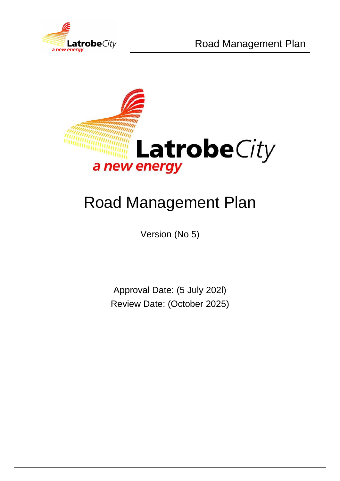



# Road Management Plan

Version (No 5)

Approval Date: (5 July 202l) Review Date: (October 2025)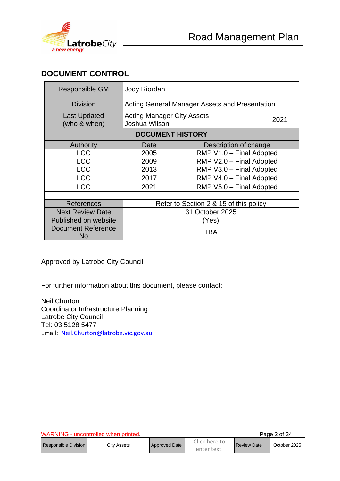

## **DOCUMENT CONTROL**

| Responsible GM                   | Jody Riordan                                       |                                        |      |  |
|----------------------------------|----------------------------------------------------|----------------------------------------|------|--|
| <b>Division</b>                  | Acting General Manager Assets and Presentation     |                                        |      |  |
| Last Updated<br>(who & when)     | <b>Acting Manager City Assets</b><br>Joshua Wilson |                                        | 2021 |  |
| <b>DOCUMENT HISTORY</b>          |                                                    |                                        |      |  |
| Authority                        | Date                                               | Description of change                  |      |  |
| <b>LCC</b>                       | 2005                                               | RMP V1.0 - Final Adopted               |      |  |
| <b>LCC</b>                       | 2009                                               | RMP V2.0 - Final Adopted               |      |  |
| <b>LCC</b>                       | 2013                                               | RMP V3.0 - Final Adopted               |      |  |
| <b>LCC</b>                       | 2017                                               | RMP V4.0 - Final Adopted               |      |  |
| <b>LCC</b>                       | 2021                                               | RMP V5.0 - Final Adopted               |      |  |
|                                  |                                                    |                                        |      |  |
| References                       |                                                    | Refer to Section 2 & 15 of this policy |      |  |
| <b>Next Review Date</b>          | 31 October 2025                                    |                                        |      |  |
| Published on website             |                                                    | (Yes)                                  |      |  |
| <b>Document Reference</b><br>No. |                                                    | TBA                                    |      |  |

Approved by Latrobe City Council

For further information about this document, please contact:

Neil Churton Coordinator Infrastructure Planning Latrobe City Council Tel: 03 5128 5477 Email: [Neil.Churton@latrobe.vic.gov.au](mailto:Jamie.Aitken@latrobe.vic.gov.au)

| WARNING - uncontrolled when printed |             |               |                              |                    | Page 2 of 34 |
|-------------------------------------|-------------|---------------|------------------------------|--------------------|--------------|
| <b>Responsible Division</b>         | City Assets | Approved Date | Click here to<br>enter text. | <b>Review Date</b> | October 2025 |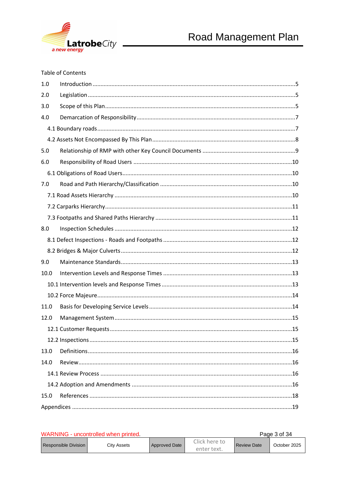

#### **Table of Contents**

| 1.0  |  |
|------|--|
| 2.0  |  |
| 3.0  |  |
| 4.0  |  |
|      |  |
|      |  |
| 5.0  |  |
| 6.0  |  |
|      |  |
| 7.0  |  |
|      |  |
|      |  |
|      |  |
| 8.0  |  |
|      |  |
|      |  |
|      |  |
| 9.0  |  |
| 10.0 |  |
|      |  |
|      |  |
| 11.0 |  |
| 12.0 |  |
|      |  |
|      |  |
| 13.0 |  |
| 14.0 |  |
|      |  |
|      |  |
| 15.0 |  |

| WARNING - uncontrolled when printed. |             |                      |                              |                    | Page 3 of 34 |
|--------------------------------------|-------------|----------------------|------------------------------|--------------------|--------------|
| Responsible Division                 | City Assets | <b>Approved Date</b> | Click here to<br>enter text. | <b>Review Date</b> | October 2025 |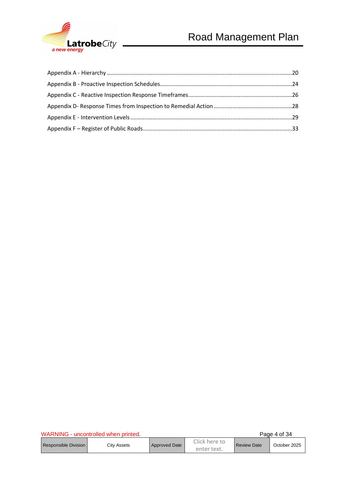

|                      | WARNING - uncontrolled when printed. |               |                              |                    | Page 4 of 34 |
|----------------------|--------------------------------------|---------------|------------------------------|--------------------|--------------|
| Responsible Division | City Assets                          | Approved Date | Click here to<br>enter text. | <b>Review Date</b> | October 2025 |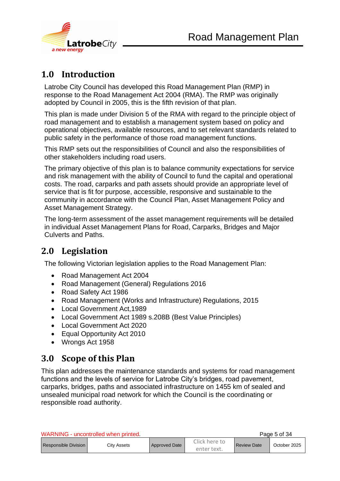

## <span id="page-4-0"></span>**1.0 Introduction**

Latrobe City Council has developed this Road Management Plan (RMP) in response to the Road Management Act 2004 (RMA). The RMP was originally adopted by Council in 2005, this is the fifth revision of that plan.

This plan is made under Division 5 of the RMA with regard to the principle object of road management and to establish a management system based on policy and operational objectives, available resources, and to set relevant standards related to public safety in the performance of those road management functions.

This RMP sets out the responsibilities of Council and also the responsibilities of other stakeholders including road users.

The primary objective of this plan is to balance community expectations for service and risk management with the ability of Council to fund the capital and operational costs. The road, carparks and path assets should provide an appropriate level of service that is fit for purpose, accessible, responsive and sustainable to the community in accordance with the Council Plan, Asset Management Policy and Asset Management Strategy.

The long-term assessment of the asset management requirements will be detailed in individual Asset Management Plans for Road, Carparks, Bridges and Major Culverts and Paths.

## <span id="page-4-1"></span>**2.0 Legislation**

The following Victorian legislation applies to the Road Management Plan:

- Road Management Act 2004
- Road Management (General) Regulations 2016
- Road Safety Act 1986
- Road Management (Works and Infrastructure) Regulations, 2015
- Local Government Act,1989
- Local Government Act 1989 s.208B (Best Value Principles)
- Local Government Act 2020
- Equal Opportunity Act 2010
- Wrongs Act 1958

## <span id="page-4-2"></span>**3.0 Scope of this Plan**

This plan addresses the maintenance standards and systems for road management functions and the levels of service for Latrobe City's bridges, road pavement, carparks, bridges, paths and associated infrastructure on 1455 km of sealed and unsealed municipal road network for which the Council is the coordinating or responsible road authority.

|                        | WARNING - uncontrolled when printed. |               |                              |                    | Page 5 of 34 |
|------------------------|--------------------------------------|---------------|------------------------------|--------------------|--------------|
| Responsible Division I | Citv Assets                          | Approved Date | Click here to<br>enter text. | <b>Review Date</b> | October 2025 |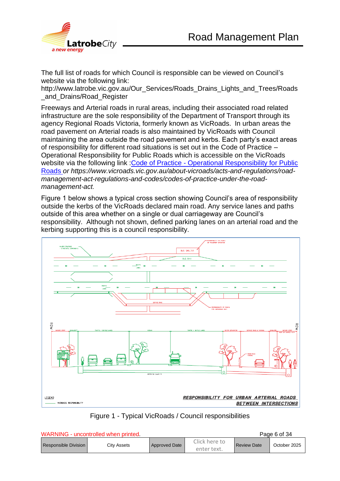

The full list of roads for which Council is responsible can be viewed on Council's website via the following link:

http://www.latrobe.vic.gov.au/Our\_Services/Roads\_Drains\_Lights\_and\_Trees/Roads and Drains/Road Register

Freeways and Arterial roads in rural areas, including their associated road related infrastructure are the sole responsibility of the Department of Transport through its agency Regional Roads Victoria, formerly known as VicRoads. In urban areas the road pavement on Arterial roads is also maintained by VicRoads with Council maintaining the area outside the road pavement and kerbs. Each party's exact areas of responsibility for different road situations is set out in the Code of Practice – Operational Responsibility for Public Roads which is accessible on the VicRoads website via the following link : Code of Practice - Operational Responsibility for Public [Roads](https://www.google.com.au/url?sa=t&rct=j&q=&esrc=s&source=web&cd=2&cad=rja&uact=8&ved=0ahUKEwjN0qXFjtfSAhVGNJQKHZEzAPkQFggfMAE&url=https%3A%2F%2Fwww.vicroads.vic.gov.au%2Fabout-vicroads%2Facts-and-regulations%2Froad-management-act-regulations-and-codes%2Fcodes-of-practice-under-the-road-management-act&usg=AFQjCNHC-JP36WF1ZszVw-msG9x15ROGmg&bvm=bv.149397726,d.dGc) *or https://www.vicroads.vic.gov.au/about-vicroads/acts-and-regulations/roadmanagement-act-regulations-and-codes/codes-of-practice-under-the-roadmanagement-act*.

Figure 1 below shows a typical cross section showing Council's area of responsibility outside the kerbs of the VicRoads declared main road. Any service lanes and paths outside of this area whether on a single or dual carriageway are Council's responsibility. Although not shown, defined parking lanes on an arterial road and the kerbing supporting this is a council responsibility.





|                               | WARNING - uncontrolled when printed. |                      |                              |                    | Page 6 of 34 |
|-------------------------------|--------------------------------------|----------------------|------------------------------|--------------------|--------------|
| <b>Responsible Division I</b> | Citv Assets                          | <b>Approved Date</b> | Click here to<br>enter text. | <b>Review Date</b> | October 2025 |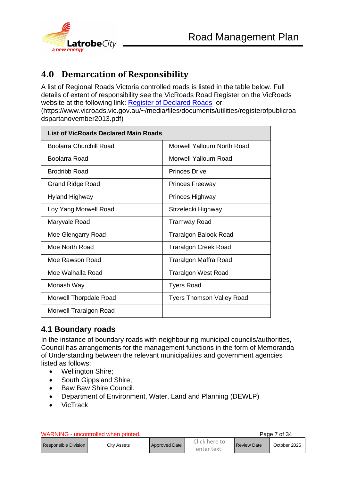

## <span id="page-6-0"></span>**4.0 Demarcation of Responsibility**

A list of Regional Roads Victoria controlled roads is listed in the table below. Full details of extent of responsibility see the VicRoads Road Register on the VicRoads website at the following link: [Register of Declared Roads](https://www.vicroads.vic.gov.au/~/media/files/documents/utilities/registerofpublicroadspartanovember2013.pdf) or:

(https://www.vicroads.vic.gov.au/~/media/files/documents/utilities/registerofpublicroa dspartanovember2013.pdf)

| <b>List of VicRoads Declared Main Roads</b> |                                  |  |  |
|---------------------------------------------|----------------------------------|--|--|
| Boolarra Churchill Road                     | Morwell Yallourn North Road      |  |  |
| Boolarra Road                               | Morwell Yallourn Road            |  |  |
| Brodribb Road                               | <b>Princes Drive</b>             |  |  |
| <b>Grand Ridge Road</b>                     | <b>Princes Freeway</b>           |  |  |
| Hyland Highway                              | Princes Highway                  |  |  |
| Loy Yang Morwell Road                       | Strzelecki Highway               |  |  |
| Maryvale Road                               | Tramway Road                     |  |  |
| Moe Glengarry Road                          | Traralgon Balook Road            |  |  |
| Moe North Road                              | <b>Traralgon Creek Road</b>      |  |  |
| Moe Rawson Road                             | Traralgon Maffra Road            |  |  |
| Moe Walhalla Road                           | <b>Traralgon West Road</b>       |  |  |
| Monash Way                                  | <b>Tyers Road</b>                |  |  |
| Morwell Thorpdale Road                      | <b>Tyers Thomson Valley Road</b> |  |  |
| Morwell Traralgon Road                      |                                  |  |  |

#### <span id="page-6-1"></span>**4.1 Boundary roads**

In the instance of boundary roads with neighbouring municipal councils/authorities, Council has arrangements for the management functions in the form of Memoranda of Understanding between the relevant municipalities and government agencies listed as follows:

- Wellington Shire;
- South Gippsland Shire:
- Baw Baw Shire Council.
- Department of Environment, Water, Land and Planning (DEWLP)
- VicTrack

| WARNING - uncontrolled when printed |             |               |                              |                    | Page 7 of 34 |
|-------------------------------------|-------------|---------------|------------------------------|--------------------|--------------|
| Responsible Division                | City Assets | Approved Date | Click here to<br>enter text. | <b>Review Date</b> | October 2025 |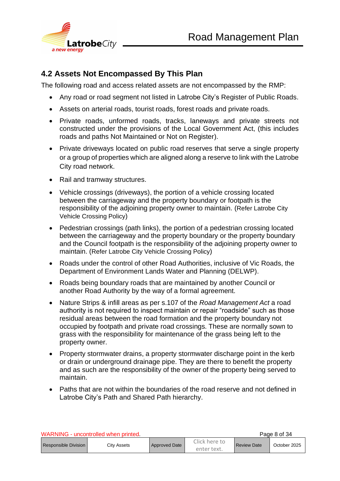

#### <span id="page-7-0"></span>**4.2 Assets Not Encompassed By This Plan**

The following road and access related assets are not encompassed by the RMP:

- Any road or road segment not listed in Latrobe City's Register of Public Roads.
- Assets on arterial roads, tourist roads, forest roads and private roads.
- Private roads, unformed roads, tracks, laneways and private streets not constructed under the provisions of the Local Government Act, (this includes roads and paths Not Maintained or Not on Register).
- Private driveways located on public road reserves that serve a single property or a group of properties which are aligned along a reserve to link with the Latrobe City road network.
- Rail and tramway structures.
- Vehicle crossings (driveways), the portion of a vehicle crossing located between the carriageway and the property boundary or footpath is the responsibility of the adjoining property owner to maintain. (Refer Latrobe City Vehicle Crossing Policy)
- Pedestrian crossings (path links), the portion of a pedestrian crossing located between the carriageway and the property boundary or the property boundary and the Council footpath is the responsibility of the adjoining property owner to maintain. (Refer Latrobe City Vehicle Crossing Policy)
- Roads under the control of other Road Authorities, inclusive of Vic Roads, the Department of Environment Lands Water and Planning (DELWP).
- Roads being boundary roads that are maintained by another Council or another Road Authority by the way of a formal agreement.
- Nature Strips & infill areas as per s.107 of the *Road Management Act* a road authority is not required to inspect maintain or repair "roadside" such as those residual areas between the road formation and the property boundary not occupied by footpath and private road crossings. These are normally sown to grass with the responsibility for maintenance of the grass being left to the property owner.
- Property stormwater drains, a property stormwater discharge point in the kerb or drain or underground drainage pipe. They are there to benefit the property and as such are the responsibility of the owner of the property being served to maintain.
- Paths that are not within the boundaries of the road reserve and not defined in Latrobe City's Path and Shared Path hierarchy.

| WARNING - uncontrolled when printed |             |                      |                              |                    | Page 8 of 34 |
|-------------------------------------|-------------|----------------------|------------------------------|--------------------|--------------|
| l Responsible Division I            | Citv Assets | <b>Approved Date</b> | Click here to<br>enter text. | <b>Review Date</b> | October 2025 |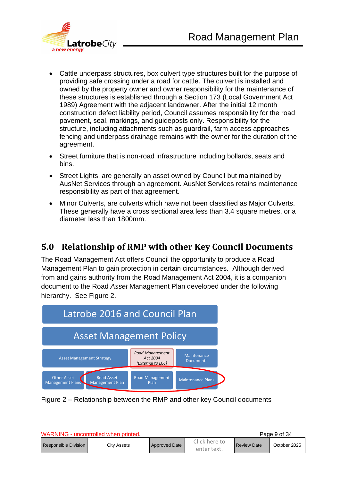

- Cattle underpass structures, box culvert type structures built for the purpose of providing safe crossing under a road for cattle. The culvert is installed and owned by the property owner and owner responsibility for the maintenance of these structures is established through a Section 173 (Local Government Act 1989) Agreement with the adjacent landowner. After the initial 12 month construction defect liability period, Council assumes responsibility for the road pavement, seal, markings, and guideposts only. Responsibility for the structure, including attachments such as guardrail, farm access approaches, fencing and underpass drainage remains with the owner for the duration of the agreement.
- Street furniture that is non-road infrastructure including bollards, seats and bins.
- Street Lights, are generally an asset owned by Council but maintained by AusNet Services through an agreement. AusNet Services retains maintenance responsibility as part of that agreement.
- Minor Culverts, are culverts which have not been classified as Major Culverts. These generally have a cross sectional area less than 3.4 square metres, or a diameter less than 1800mm.

## <span id="page-8-0"></span>**5.0 Relationship of RMP with other Key Council Documents**

The Road Management Act offers Council the opportunity to produce a Road Management Plan to gain protection in certain circumstances. Although derived from and gains authority from the Road Management Act 2004, it is a companion document to the Road *Asset* Management Plan developed under the following hierarchy. See Figure 2.



Figure 2 – Relationship between the RMP and other key Council documents

| WARNING - uncontrolled when printed |             |                      |                              |                    | Page 9 of 34 |
|-------------------------------------|-------------|----------------------|------------------------------|--------------------|--------------|
| Responsible Division                | City Assets | <b>Approved Date</b> | Click here to<br>enter text. | <b>Review Date</b> | October 2025 |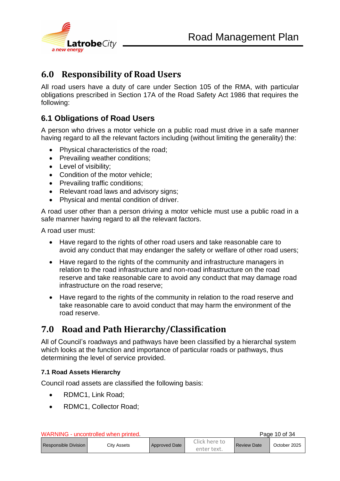

## <span id="page-9-0"></span>**6.0 Responsibility of Road Users**

All road users have a duty of care under Section 105 of the RMA, with particular obligations prescribed in Section 17A of the Road Safety Act 1986 that requires the following:

#### <span id="page-9-1"></span>**6.1 Obligations of Road Users**

A person who drives a motor vehicle on a public road must drive in a safe manner having regard to all the relevant factors including (without limiting the generality) the:

- Physical characteristics of the road;
- Prevailing weather conditions;
- Level of visibility;
- Condition of the motor vehicle:
- Prevailing traffic conditions:
- Relevant road laws and advisory signs;
- Physical and mental condition of driver.

A road user other than a person driving a motor vehicle must use a public road in a safe manner having regard to all the relevant factors.

A road user must:

- Have regard to the rights of other road users and take reasonable care to avoid any conduct that may endanger the safety or welfare of other road users;
- Have regard to the rights of the community and infrastructure managers in relation to the road infrastructure and non-road infrastructure on the road reserve and take reasonable care to avoid any conduct that may damage road infrastructure on the road reserve;
- Have regard to the rights of the community in relation to the road reserve and take reasonable care to avoid conduct that may harm the environment of the road reserve.

## <span id="page-9-2"></span>**7.0 Road and Path Hierarchy/Classification**

All of Council's roadways and pathways have been classified by a hierarchal system which looks at the function and importance of particular roads or pathways, thus determining the level of service provided.

#### <span id="page-9-3"></span>**7.1 Road Assets Hierarchy**

Council road assets are classified the following basis:

- RDMC1, Link Road;
- RDMC1, Collector Road;

|  |  | WARNING - uncontrolled when printed. |  |  |
|--|--|--------------------------------------|--|--|
|--|--|--------------------------------------|--|--|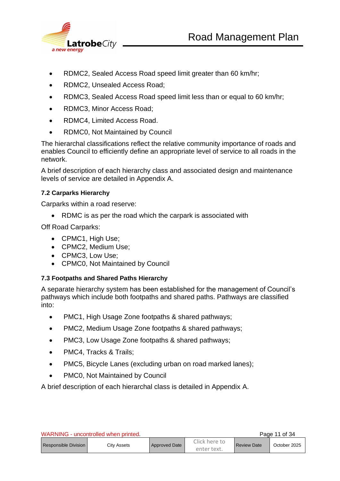

- RDMC2, Sealed Access Road speed limit greater than 60 km/hr;
- RDMC2, Unsealed Access Road;
- RDMC3, Sealed Access Road speed limit less than or equal to 60 km/hr;
- RDMC3, Minor Access Road;
- RDMC4, Limited Access Road.
- RDMC0, Not Maintained by Council

The hierarchal classifications reflect the relative community importance of roads and enables Council to efficiently define an appropriate level of service to all roads in the network.

A brief description of each hierarchy class and associated design and maintenance levels of service are detailed in Appendix A.

#### <span id="page-10-0"></span>**7.2 Carparks Hierarchy**

Carparks within a road reserve:

• RDMC is as per the road which the carpark is associated with

Off Road Carparks:

- CPMC1, High Use;
- CPMC2, Medium Use;
- CPMC3, Low Use;
- CPMC0, Not Maintained by Council

#### <span id="page-10-1"></span>**7.3 Footpaths and Shared Paths Hierarchy**

A separate hierarchy system has been established for the management of Council's pathways which include both footpaths and shared paths. Pathways are classified into:

- PMC1, High Usage Zone footpaths & shared pathways;
- PMC2, Medium Usage Zone footpaths & shared pathways:
- PMC3, Low Usage Zone footpaths & shared pathways;
- PMC4, Tracks & Trails;
- PMC5, Bicycle Lanes (excluding urban on road marked lanes);
- PMC0, Not Maintained by Council

A brief description of each hierarchal class is detailed in Appendix A.

| WARNING - uncontrolled when printed |             |                      |                              |                    | Page 11 of 34 |
|-------------------------------------|-------------|----------------------|------------------------------|--------------------|---------------|
| Responsible Division                | Citv Assets | <b>Approved Date</b> | Click here to<br>enter text. | <b>Review Date</b> | October 2025  |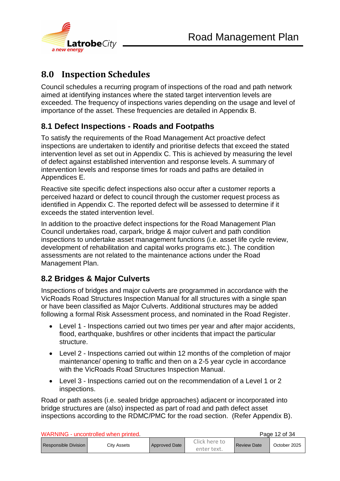

# <span id="page-11-0"></span>**8.0 Inspection Schedules**

Council schedules a recurring program of inspections of the road and path network aimed at identifying instances where the stated target intervention levels are exceeded. The frequency of inspections varies depending on the usage and level of importance of the asset. These frequencies are detailed in Appendix B.

#### <span id="page-11-1"></span>**8.1 Defect Inspections - Roads and Footpaths**

To satisfy the requirements of the Road Management Act proactive defect inspections are undertaken to identify and prioritise defects that exceed the stated intervention level as set out in Appendix C. This is achieved by measuring the level of defect against established intervention and response levels. A summary of intervention levels and response times for roads and paths are detailed in Appendices E.

Reactive site specific defect inspections also occur after a customer reports a perceived hazard or defect to council through the customer request process as identified in Appendix C. The reported defect will be assessed to determine if it exceeds the stated intervention level.

In addition to the proactive defect inspections for the Road Management Plan Council undertakes road, carpark, bridge & major culvert and path condition inspections to undertake asset management functions (i.e. asset life cycle review, development of rehabilitation and capital works programs etc.). The condition assessments are not related to the maintenance actions under the Road Management Plan.

## <span id="page-11-2"></span>**8.2 Bridges & Major Culverts**

Inspections of bridges and major culverts are programmed in accordance with the VicRoads Road Structures Inspection Manual for all structures with a single span or have been classified as Major Culverts. Additional structures may be added following a formal Risk Assessment process, and nominated in the Road Register.

- Level 1 Inspections carried out two times per year and after major accidents, flood, earthquake, bushfires or other incidents that impact the particular structure.
- Level 2 Inspections carried out within 12 months of the completion of major maintenance/ opening to traffic and then on a 2-5 year cycle in accordance with the VicRoads Road Structures Inspection Manual.
- Level 3 Inspections carried out on the recommendation of a Level 1 or 2 inspections.

Road or path assets (i.e. sealed bridge approaches) adjacent or incorporated into bridge structures are (also) inspected as part of road and path defect asset inspections according to the RDMC/PMC for the road section. (Refer Appendix B).

| WARNING - uncontrolled when printed |                    |                      |                              |                    | Page 12 of 34 |
|-------------------------------------|--------------------|----------------------|------------------------------|--------------------|---------------|
| Responsible Division                | <b>City Assets</b> | <b>Approved Date</b> | Click here to<br>enter text. | <b>Review Date</b> | October 2025  |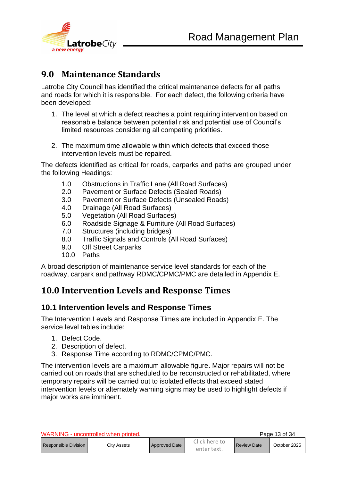

## <span id="page-12-0"></span>**9.0 Maintenance Standards**

Latrobe City Council has identified the critical maintenance defects for all paths and roads for which it is responsible. For each defect, the following criteria have been developed:

- 1. The level at which a defect reaches a point requiring intervention based on reasonable balance between potential risk and potential use of Council's limited resources considering all competing priorities.
- 2. The maximum time allowable within which defects that exceed those intervention levels must be repaired.

The defects identified as critical for roads, carparks and paths are grouped under the following Headings:

- 1.0 Obstructions in Traffic Lane (All Road Surfaces)
- 2.0 Pavement or Surface Defects (Sealed Roads)
- 3.0 Pavement or Surface Defects (Unsealed Roads)
- 4.0 Drainage (All Road Surfaces)
- 5.0 Vegetation (All Road Surfaces)
- 6.0 Roadside Signage & Furniture (All Road Surfaces)
- 7.0 Structures (including bridges)
- 8.0 Traffic Signals and Controls (All Road Surfaces)
- 9.0 Off Street Carparks
- 10.0 Paths

A broad description of maintenance service level standards for each of the roadway, carpark and pathway RDMC/CPMC/PMC are detailed in Appendix E.

#### <span id="page-12-1"></span>**10.0 Intervention Levels and Response Times**

#### <span id="page-12-2"></span>**10.1 Intervention levels and Response Times**

The Intervention Levels and Response Times are included in Appendix E. The service level tables include:

- 1. Defect Code.
- 2. Description of defect.
- 3. Response Time according to RDMC/CPMC/PMC.

The intervention levels are a maximum allowable figure. Major repairs will not be carried out on roads that are scheduled to be reconstructed or rehabilitated, where temporary repairs will be carried out to isolated effects that exceed stated intervention levels or alternately warning signs may be used to highlight defects if major works are imminent.

| WARNING - uncontrolled when printed |                    |               |                              |                    | Page 13 of 34 |
|-------------------------------------|--------------------|---------------|------------------------------|--------------------|---------------|
| Responsible Division                | <b>City Assets</b> | Approved Date | Click here to<br>enter text. | <b>Review Date</b> | October 2025  |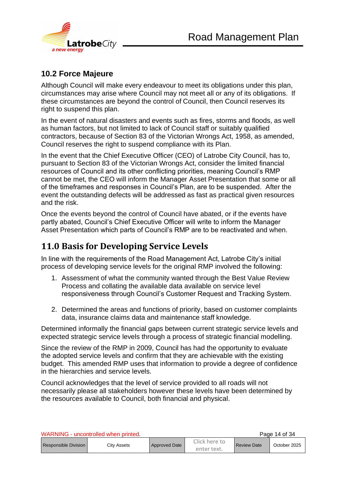

#### <span id="page-13-0"></span>**10.2 Force Majeure**

Although Council will make every endeavour to meet its obligations under this plan, circumstances may arise where Council may not meet all or any of its obligations. If these circumstances are beyond the control of Council, then Council reserves its right to suspend this plan.

In the event of natural disasters and events such as fires, storms and floods, as well as human factors, but not limited to lack of Council staff or suitably qualified contractors, because of Section 83 of the Victorian Wrongs Act, 1958, as amended, Council reserves the right to suspend compliance with its Plan.

In the event that the Chief Executive Officer (CEO) of Latrobe City Council, has to, pursuant to Section 83 of the Victorian Wrongs Act, consider the limited financial resources of Council and its other conflicting priorities, meaning Council's RMP cannot be met, the CEO will inform the Manager Asset Presentation that some or all of the timeframes and responses in Council's Plan, are to be suspended. After the event the outstanding defects will be addressed as fast as practical given resources and the risk.

Once the events beyond the control of Council have abated, or if the events have partly abated, Council's Chief Executive Officer will write to inform the Manager Asset Presentation which parts of Council's RMP are to be reactivated and when.

## <span id="page-13-1"></span>**11.0 Basis for Developing Service Levels**

In line with the requirements of the Road Management Act, Latrobe City's initial process of developing service levels for the original RMP involved the following:

- 1. Assessment of what the community wanted through the Best Value Review Process and collating the available data available on service level responsiveness through Council's Customer Request and Tracking System.
- 2. Determined the areas and functions of priority, based on customer complaints data, insurance claims data and maintenance staff knowledge.

Determined informally the financial gaps between current strategic service levels and expected strategic service levels through a process of strategic financial modelling.

Since the review of the RMP in 2009, Council has had the opportunity to evaluate the adopted service levels and confirm that they are achievable with the existing budget. This amended RMP uses that information to provide a degree of confidence in the hierarchies and service levels.

Council acknowledges that the level of service provided to all roads will not necessarily please all stakeholders however these levels have been determined by the resources available to Council, both financial and physical.

| WARNING - uncontrolled when printed |             |                      |                              |                    | Page 14 of 34 |
|-------------------------------------|-------------|----------------------|------------------------------|--------------------|---------------|
| <b>Responsible Division I</b>       | Citv Assets | <b>Approved Date</b> | Click here to<br>enter text. | <b>Review Date</b> | October 2025  |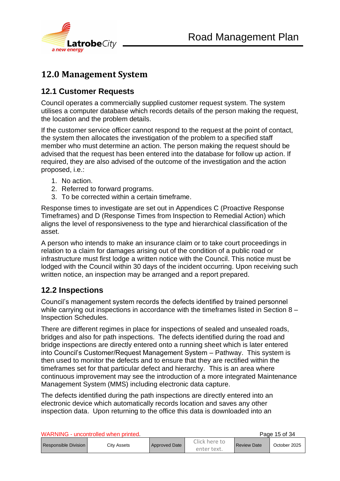

## <span id="page-14-0"></span>**12.0 Management System**

#### <span id="page-14-1"></span>**12.1 Customer Requests**

Council operates a commercially supplied customer request system. The system utilises a computer database which records details of the person making the request, the location and the problem details.

If the customer service officer cannot respond to the request at the point of contact, the system then allocates the investigation of the problem to a specified staff member who must determine an action. The person making the request should be advised that the request has been entered into the database for follow up action. If required, they are also advised of the outcome of the investigation and the action proposed, i.e.:

- 1. No action.
- 2. Referred to forward programs.
- 3. To be corrected within a certain timeframe.

Response times to investigate are set out in Appendices C (Proactive Response Timeframes) and D (Response Times from Inspection to Remedial Action) which aligns the level of responsiveness to the type and hierarchical classification of the asset.

A person who intends to make an insurance claim or to take court proceedings in relation to a claim for damages arising out of the condition of a public road or infrastructure must first lodge a written notice with the Council. This notice must be lodged with the Council within 30 days of the incident occurring. Upon receiving such written notice, an inspection may be arranged and a report prepared.

#### <span id="page-14-2"></span>**12.2 Inspections**

Council's management system records the defects identified by trained personnel while carrying out inspections in accordance with the timeframes listed in Section 8 – Inspection Schedules.

There are different regimes in place for inspections of sealed and unsealed roads, bridges and also for path inspections. The defects identified during the road and bridge inspections are directly entered onto a running sheet which is later entered into Council's Customer/Request Management System – Pathway. This system is then used to monitor the defects and to ensure that they are rectified within the timeframes set for that particular defect and hierarchy. This is an area where continuous improvement may see the introduction of a more integrated Maintenance Management System (MMS) including electronic data capture.

The defects identified during the path inspections are directly entered into an electronic device which automatically records location and saves any other inspection data. Upon returning to the office this data is downloaded into an

| WARNING - uncontrolled when printed. |             |               |                              |                    | Page 15 of 34 |
|--------------------------------------|-------------|---------------|------------------------------|--------------------|---------------|
| <b>Responsible Division</b>          | Citv Assets | Approved Date | Click here to<br>enter text. | <b>Review Date</b> | October 2025  |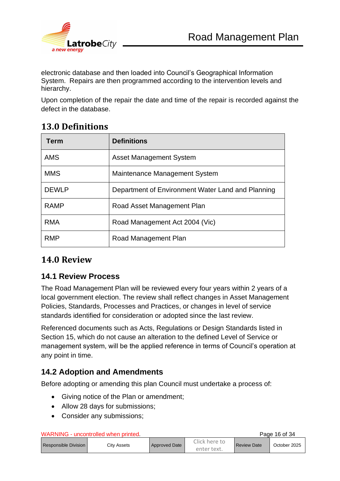

electronic database and then loaded into Council's Geographical Information System. Repairs are then programmed according to the intervention levels and hierarchy.

Upon completion of the repair the date and time of the repair is recorded against the defect in the database.

## <span id="page-15-0"></span>**13.0 Definitions**

| <b>Term</b>  | <b>Definitions</b>                                |
|--------------|---------------------------------------------------|
| <b>AMS</b>   | <b>Asset Management System</b>                    |
| <b>MMS</b>   | Maintenance Management System                     |
| <b>DEWLP</b> | Department of Environment Water Land and Planning |
| <b>RAMP</b>  | Road Asset Management Plan                        |
| <b>RMA</b>   | Road Management Act 2004 (Vic)                    |
| <b>RMP</b>   | Road Management Plan                              |

#### <span id="page-15-1"></span>**14.0 Review**

#### <span id="page-15-2"></span>**14.1 Review Process**

The Road Management Plan will be reviewed every four years within 2 years of a local government election. The review shall reflect changes in Asset Management Policies, Standards, Processes and Practices, or changes in level of service standards identified for consideration or adopted since the last review.

Referenced documents such as Acts, Regulations or Design Standards listed in Section 15, which do not cause an alteration to the defined Level of Service or management system, will be the applied reference in terms of Council's operation at any point in time.

#### <span id="page-15-3"></span>**14.2 Adoption and Amendments**

Before adopting or amending this plan Council must undertake a process of:

- Giving notice of the Plan or amendment;
- Allow 28 days for submissions;
- Consider any submissions;

WARNING - uncontrolled when printed. The state of the Page 16 of 34

| Responsible Division | Citv Assets | <b>Approved Date</b> | Click here to<br><b>Review Date</b> | October 2025 |  |
|----------------------|-------------|----------------------|-------------------------------------|--------------|--|
|                      |             |                      | enter text.                         |              |  |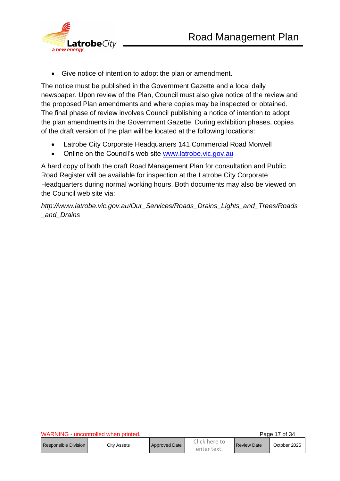

• Give notice of intention to adopt the plan or amendment.

The notice must be published in the Government Gazette and a local daily newspaper. Upon review of the Plan, Council must also give notice of the review and the proposed Plan amendments and where copies may be inspected or obtained. The final phase of review involves Council publishing a notice of intention to adopt the plan amendments in the Government Gazette. During exhibition phases, copies of the draft version of the plan will be located at the following locations:

- Latrobe City Corporate Headquarters 141 Commercial Road Morwell
- Online on the Council's web site [www.latrobe.vic.gov.au](http://www.latrobe.vic.gov.au/)

A hard copy of both the draft Road Management Plan for consultation and Public Road Register will be available for inspection at the Latrobe City Corporate Headquarters during normal working hours. Both documents may also be viewed on the Council web site via:

*http://www.latrobe.vic.gov.au/Our\_Services/Roads\_Drains\_Lights\_and\_Trees/Roads \_and\_Drains* 

| WARNING - uncontrolled when printed |             |               |                              |                    | Page 17 of 34 |
|-------------------------------------|-------------|---------------|------------------------------|--------------------|---------------|
| <b>Responsible Division</b>         | Citv Assets | Approved Date | Click here to<br>enter text. | <b>Review Date</b> | October 2025  |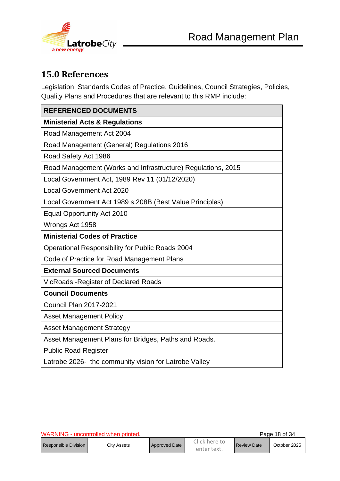

# <span id="page-17-0"></span>**15.0 References**

Legislation, Standards Codes of Practice, Guidelines, Council Strategies, Policies, Quality Plans and Procedures that are relevant to this RMP include:

| <b>REFERENCED DOCUMENTS</b>                                  |
|--------------------------------------------------------------|
| <b>Ministerial Acts &amp; Regulations</b>                    |
| Road Management Act 2004                                     |
| Road Management (General) Regulations 2016                   |
| Road Safety Act 1986                                         |
| Road Management (Works and Infrastructure) Regulations, 2015 |
| Local Government Act, 1989 Rev 11 (01/12/2020)               |
| <b>Local Government Act 2020</b>                             |
| Local Government Act 1989 s.208B (Best Value Principles)     |
| <b>Equal Opportunity Act 2010</b>                            |
| Wrongs Act 1958                                              |
| <b>Ministerial Codes of Practice</b>                         |
| Operational Responsibility for Public Roads 2004             |
| Code of Practice for Road Management Plans                   |
| <b>External Sourced Documents</b>                            |
| <b>VicRoads-Register of Declared Roads</b>                   |
| <b>Council Documents</b>                                     |
| <b>Council Plan 2017-2021</b>                                |
| <b>Asset Management Policy</b>                               |
| <b>Asset Management Strategy</b>                             |
| Asset Management Plans for Bridges, Paths and Roads.         |
| <b>Public Road Register</b>                                  |
| Latrobe 2026- the community vision for Latrobe Valley        |

|                      | WARNING - uncontrolled when printed. |                      |                              |                    | Page 18 of 34 |
|----------------------|--------------------------------------|----------------------|------------------------------|--------------------|---------------|
| Responsible Division | City Assets                          | <b>Approved Date</b> | Click here to<br>enter text. | <b>Review Date</b> | October 2025  |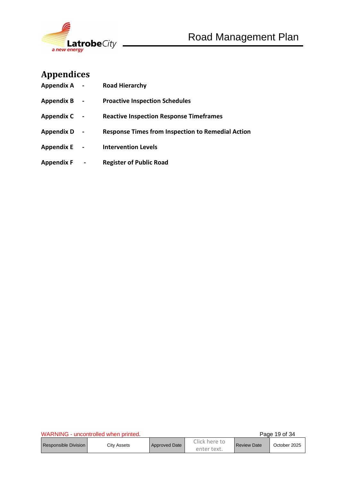

# <span id="page-18-0"></span>**Appendices**

| <b>Appendix A</b> | $\sim$         | <b>Road Hierarchy</b>                                    |
|-------------------|----------------|----------------------------------------------------------|
| <b>Appendix B</b> | $\blacksquare$ | <b>Proactive Inspection Schedules</b>                    |
| <b>Appendix C</b> |                | <b>Reactive Inspection Response Timeframes</b>           |
| <b>Appendix D</b> |                | <b>Response Times from Inspection to Remedial Action</b> |
| <b>Appendix E</b> |                | <b>Intervention Levels</b>                               |
| <b>Appendix F</b> |                | <b>Register of Public Road</b>                           |

| WARNING - uncontrolled when printed. |             |                      |                              | Page 19 of 34      |              |
|--------------------------------------|-------------|----------------------|------------------------------|--------------------|--------------|
| Responsible Division                 | City Assets | <b>Approved Date</b> | Click here to<br>enter text. | <b>Review Date</b> | October 2025 |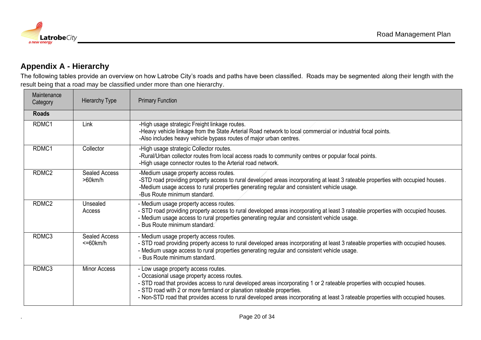

#### **Appendix A - Hierarchy**

The following tables provide an overview on how Latrobe City's roads and paths have been classified. Roads may be segmented along their length with the result being that a road may be classified under more than one hierarchy.

<span id="page-19-0"></span>

| Maintenance<br>Category | <b>Hierarchy Type</b>                  | <b>Primary Function</b>                                                                                                                                                                                                                                                                                                                                                                                                 |
|-------------------------|----------------------------------------|-------------------------------------------------------------------------------------------------------------------------------------------------------------------------------------------------------------------------------------------------------------------------------------------------------------------------------------------------------------------------------------------------------------------------|
| <b>Roads</b>            |                                        |                                                                                                                                                                                                                                                                                                                                                                                                                         |
| RDMC1                   | Link                                   | -High usage strategic Freight linkage routes.<br>-Heavy vehicle linkage from the State Arterial Road network to local commercial or industrial focal points.<br>-Also includes heavy vehicle bypass routes of major urban centres.                                                                                                                                                                                      |
| RDMC1                   | Collector                              | -High usage strategic Collector routes.<br>-Rural/Urban collector routes from local access roads to community centres or popular focal points.<br>-High usage connector routes to the Arterial road network.                                                                                                                                                                                                            |
| RDMC <sub>2</sub>       | <b>Sealed Access</b><br>$>60$ km/h     | -Medium usage property access routes.<br>-STD road providing property access to rural developed areas incorporating at least 3 rateable properties with occupied houses.<br>-Medium usage access to rural properties generating regular and consistent vehicle usage.<br>-Bus Route minimum standard.                                                                                                                   |
| RDMC <sub>2</sub>       | Unsealed<br>Access                     | - Medium usage property access routes.<br>- STD road providing property access to rural developed areas incorporating at least 3 rateable properties with occupied houses.<br>- Medium usage access to rural properties generating regular and consistent vehicle usage.<br>- Bus Route minimum standard.                                                                                                               |
| RDMC3                   | <b>Sealed Access</b><br>$\leq$ 60 km/h | - Medium usage property access routes.<br>- STD road providing property access to rural developed areas incorporating at least 3 rateable properties with occupied houses.<br>- Medium usage access to rural properties generating regular and consistent vehicle usage.<br>- Bus Route minimum standard.                                                                                                               |
| RDMC3                   | <b>Minor Access</b>                    | - Low usage property access routes.<br>- Occasional usage property access routes.<br>- STD road that provides access to rural developed areas incorporating 1 or 2 rateable properties with occupied houses.<br>- STD road with 2 or more farmland or planation rateable properties.<br>- Non-STD road that provides access to rural developed areas incorporating at least 3 rateable properties with occupied houses. |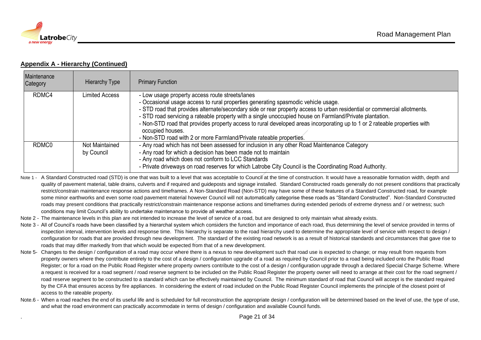

#### **Appendix A - Hierarchy (Continued)**

| Maintenance<br>Category | <b>Hierarchy Type</b>        | <b>Primary Function</b>                                                                                                                                                                                                                                                                                                                                                                                                                                                                                                                                                                             |
|-------------------------|------------------------------|-----------------------------------------------------------------------------------------------------------------------------------------------------------------------------------------------------------------------------------------------------------------------------------------------------------------------------------------------------------------------------------------------------------------------------------------------------------------------------------------------------------------------------------------------------------------------------------------------------|
| RDMC4                   | <b>Limited Access</b>        | - Low usage property access route streets/lanes<br>- Occasional usage access to rural properties generating spasmodic vehicle usage.<br>- STD road that provides alternate/secondary side or rear property access to urban residential or commercial allotments.<br>- STD road servicing a rateable property with a single unoccupied house on Farmland/Private plantation.<br>- Non-STD road that provides property access to rural developed areas incorporating up to 1 or 2 rateable properties with<br>occupied houses.<br>- Non-STD road with 2 or more Farmland/Private rateable properties. |
| RDMC0                   | Not Maintained<br>by Council | - Any road which has not been assessed for inclusion in any other Road Maintenance Category<br>- Any road for which a decision has been made not to maintain<br>- Any road which does not conform to LCC Standards<br>- Private driveways on road reserves for which Latrobe City Council is the Coordinating Road Authority.                                                                                                                                                                                                                                                                       |

Note 1 - A Standard Constructed road (STD) is one that was built to a level that was acceptable to Council at the time of construction. It would have a reasonable formation width, depth and quality of pavement material, table drains, culverts and if required and guideposts and signage installed. Standard Constructed roads generally do not present conditions that practically restrict/constrain maintenance response actions and timeframes. A Non-Standard Road (Non-STD) may have some of these features of a Standard Constructed road, for example some minor earthworks and even some road pavement material however Council will not automatically categorise these roads as "Standard Constructed". Non-Standard Constructed roads may present conditions that practically restrict/constrain maintenance response actions and timeframes during extended periods of extreme dryness and / or wetness; such conditions may limit Council's ability to undertake maintenance to provide all weather access.

- Note 2 The maintenance levels in this plan are not intended to increase the level of service of a road, but are designed to only maintain what already exists.
- Note 3 All of Council's roads have been classified by a hierarchal system which considers the function and importance of each road, thus determining the level of service provided in terms of inspection interval, intervention levels and response time. This hierarchy is separate to the road hierarchy used to determine the appropriate level of service with respect to design / configuration for roads that are provided through new development. The standard of the existing road network is as a result of historical standards and circumstances that gave rise to roads that may differ markedly from that which would be expected from that of a new development.
- Note 5- Changes to the design / configuration of a road may occur where there is a nexus to new development such that road use is expected to change; or may result from requests from property owners where they contribute entirely to the cost of a design / configuration upgrade of a road as required by Council prior to a road being included onto the Public Road Register; or for a road on the Public Road Register where property owners contribute to the cost of a design / configuration upgrade through a declared Special Charge Scheme. Where a request is received for a road segment / road reserve segment to be included on the Public Road Register the property owner will need to arrange at their cost for the road segment / road reserve segment to be constructed to a standard which can be effectively maintained by Council. The minimum standard of road that Council will accept is the standard required by the CFA that ensures access by fire appliances. In considering the extent of road included on the Public Road Register Council implements the principle of the closest point of access to the rateable property.
- Note.6 When a road reaches the end of its useful life and is scheduled for full reconstruction the appropriate design / configuration will be determined based on the level of use, the type of use, and what the road environment can practically accommodate in terms of design / configuration and available Council funds.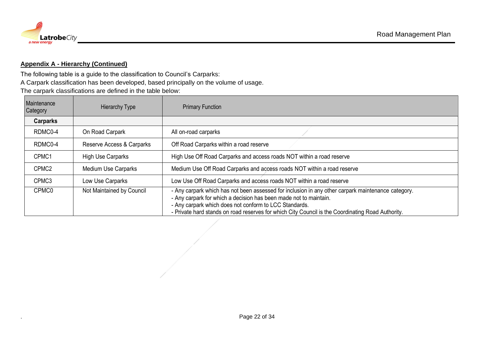

#### **Appendix A - Hierarchy (Continued)**

The following table is a guide to the classification to Council's Carparks:

A Carpark classification has been developed, based principally on the volume of usage.

The carpark classifications are defined in the table below:

| Maintenance<br>Category | <b>Hierarchy Type</b>     | <b>Primary Function</b>                                                                                                                                                                                                                                                                                                                |
|-------------------------|---------------------------|----------------------------------------------------------------------------------------------------------------------------------------------------------------------------------------------------------------------------------------------------------------------------------------------------------------------------------------|
| Carparks                |                           |                                                                                                                                                                                                                                                                                                                                        |
| RDMC0-4                 | On Road Carpark           | All on-road carparks                                                                                                                                                                                                                                                                                                                   |
| RDMC0-4                 | Reserve Access & Carparks | Off Road Carparks within a road reserve                                                                                                                                                                                                                                                                                                |
| CPMC1                   | High Use Carparks         | High Use Off Road Carparks and access roads NOT within a road reserve                                                                                                                                                                                                                                                                  |
| CPMC <sub>2</sub>       | Medium Use Carparks       | Medium Use Off Road Carparks and access roads NOT within a road reserve                                                                                                                                                                                                                                                                |
| CPMC3                   | Low Use Carparks          | Low Use Off Road Carparks and access roads NOT within a road reserve                                                                                                                                                                                                                                                                   |
| CPMC0                   | Not Maintained by Council | - Any carpark which has not been assessed for inclusion in any other carpark maintenance category.<br>- Any carpark for which a decision has been made not to maintain.<br>- Any carpark which does not conform to LCC Standards.<br>- Private hard stands on road reserves for which City Council is the Coordinating Road Authority. |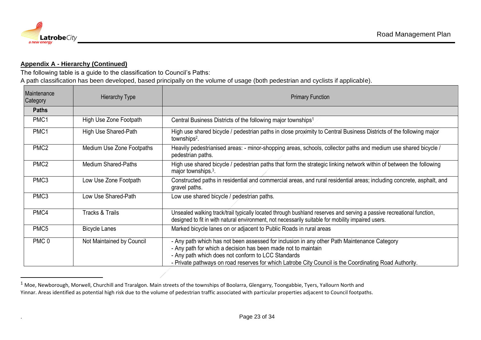

#### **Appendix A - Hierarchy (Continued)**

The following table is a guide to the classification to Council's Paths:

A path classification has been developed, based principally on the volume of usage (both pedestrian and cyclists if applicable).

| Maintenance<br>Category | <b>Hierarchy Type</b>      | <b>Primary Function</b>                                                                                                                                                                                                                                                                                                      |
|-------------------------|----------------------------|------------------------------------------------------------------------------------------------------------------------------------------------------------------------------------------------------------------------------------------------------------------------------------------------------------------------------|
| <b>Paths</b>            |                            |                                                                                                                                                                                                                                                                                                                              |
| PMC1                    | High Use Zone Footpath     | Central Business Districts of the following major townships <sup>1</sup>                                                                                                                                                                                                                                                     |
| PMC1                    | High Use Shared-Path       | High use shared bicycle / pedestrian paths in close proximity to Central Business Districts of the following major<br>townships <sup>2</sup> .                                                                                                                                                                               |
| PMC <sub>2</sub>        | Medium Use Zone Footpaths  | Heavily pedestrianised areas: - minor-shopping areas, schools, collector paths and medium use shared bicycle /<br>pedestrian paths.                                                                                                                                                                                          |
| PMC <sub>2</sub>        | <b>Medium Shared-Paths</b> | High use shared bicycle / pedestrian paths that form the strategic linking network within of between the following<br>major townships. <sup>3</sup> .                                                                                                                                                                        |
| PMC <sub>3</sub>        | Low Use Zone Footpath      | Constructed paths in residential and commercial areas, and rural residential areas; including concrete, asphalt, and<br>gravel paths.                                                                                                                                                                                        |
| PMC <sub>3</sub>        | Low Use Shared-Path        | Low use shared bicycle / pedestrian paths.                                                                                                                                                                                                                                                                                   |
| PMC4                    | <b>Tracks &amp; Trails</b> | Unsealed walking track/trail typically located through bushland reserves and serving a passive recreational function,<br>designed to fit in with natural environment, not necessarily suitable for mobility impaired users.                                                                                                  |
| PMC <sub>5</sub>        | <b>Bicycle Lanes</b>       | Marked bicycle lanes on or adjacent to Public Roads in rural areas                                                                                                                                                                                                                                                           |
| PMC <sub>0</sub>        | Not Maintained by Council  | - Any path which has not been assessed for inclusion in any other Path Maintenance Category<br>- Any path for which a decision has been made not to maintain<br>- Any path which does not conform to LCC Standards<br>- Private pathways on road reserves for which Latrobe City Council is the Coordinating Road Authority. |

<sup>&</sup>lt;sup>1</sup> Moe, Newborough, Morwell, Churchill and Traralgon. Main streets of the townships of Boolarra, Glengarry, Toongabbie, Tyers, Yallourn North and Yinnar. Areas identified as potential high risk due to the volume of pedestrian traffic associated with particular properties adjacent to Council footpaths.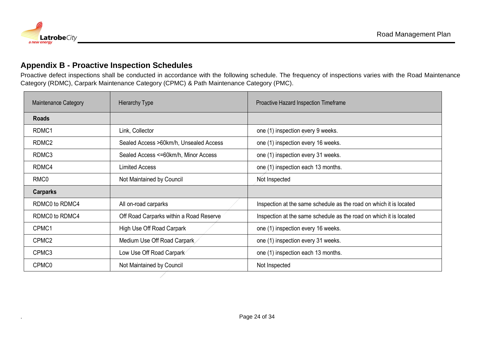

#### **Appendix B - Proactive Inspection Schedules**

Proactive defect inspections shall be conducted in accordance with the following schedule. The frequency of inspections varies with the Road Maintenance Category (RDMC), Carpark Maintenance Category (CPMC) & Path Maintenance Category (PMC).

<span id="page-23-0"></span>

| <b>Maintenance Category</b> | <b>Hierarchy Type</b>                   | Proactive Hazard Inspection Timeframe                              |
|-----------------------------|-----------------------------------------|--------------------------------------------------------------------|
| <b>Roads</b>                |                                         |                                                                    |
| RDMC1                       | Link, Collector                         | one (1) inspection every 9 weeks.                                  |
| RDMC <sub>2</sub>           | Sealed Access >60km/h, Unsealed Access  | one (1) inspection every 16 weeks.                                 |
| RDMC3                       | Sealed Access <= 60km/h, Minor Access   | one (1) inspection every 31 weeks.                                 |
| RDMC4                       | <b>Limited Access</b>                   | one (1) inspection each 13 months.                                 |
| RMC <sub>0</sub>            | Not Maintained by Council               | Not Inspected                                                      |
| <b>Carparks</b>             |                                         |                                                                    |
| RDMC0 to RDMC4              | All on-road carparks                    | Inspection at the same schedule as the road on which it is located |
| RDMC0 to RDMC4              | Off Road Carparks within a Road Reserve | Inspection at the same schedule as the road on which it is located |
| CPMC1                       | High Use Off Road Carpark               | one (1) inspection every 16 weeks.                                 |
| CPMC <sub>2</sub>           | Medium Use Off Road Carpark             | one (1) inspection every 31 weeks.                                 |
| CPMC3                       | Low Use Off Road Carpark                | one (1) inspection each 13 months.                                 |
| CPMC0                       | Not Maintained by Council               | Not Inspected                                                      |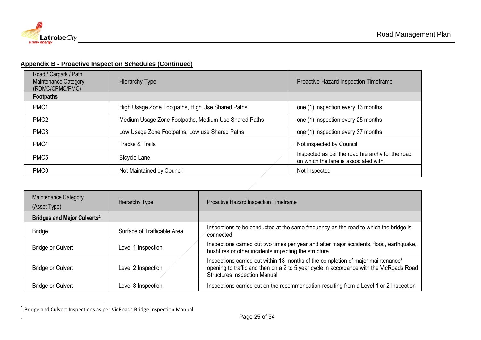

#### **Appendix B - Proactive Inspection Schedules (Continued)**

| Road / Carpark / Path<br><b>Maintenance Category</b><br>(RDMC/CPMC/PMC) | Hierarchy Type                                       | Proactive Hazard Inspection Timeframe                                                    |
|-------------------------------------------------------------------------|------------------------------------------------------|------------------------------------------------------------------------------------------|
| <b>Footpaths</b>                                                        |                                                      |                                                                                          |
| PMC <sub>1</sub>                                                        | High Usage Zone Footpaths, High Use Shared Paths     | one (1) inspection every 13 months.                                                      |
| PMC <sub>2</sub>                                                        | Medium Usage Zone Footpaths, Medium Use Shared Paths | one (1) inspection every 25 months                                                       |
| PMC <sub>3</sub>                                                        | Low Usage Zone Footpaths, Low use Shared Paths       | one (1) inspection every 37 months                                                       |
| PMC4                                                                    | Tracks & Trails                                      | Not inspected by Council                                                                 |
| PMC <sub>5</sub>                                                        | Bicycle Lane                                         | Inspected as per the road hierarchy for the road<br>on which the lane is associated with |
| PMC <sub>0</sub>                                                        | Not Maintained by Council                            | Not Inspected                                                                            |

| <b>Maintenance Category</b><br>(Asset Type) | <b>Hierarchy Type</b>       | Proactive Hazard Inspection Timeframe                                                                                                                                                                              |
|---------------------------------------------|-----------------------------|--------------------------------------------------------------------------------------------------------------------------------------------------------------------------------------------------------------------|
| Bridges and Major Culverts <sup>4</sup>     |                             |                                                                                                                                                                                                                    |
| <b>Bridge</b>                               | Surface of Trafficable Area | Inspections to be conducted at the same frequency as the road to which the bridge is<br>connected                                                                                                                  |
| <b>Bridge or Culvert</b>                    | Level 1 Inspection          | Inspections carried out two times per year and after major accidents, flood, earthquake,<br>bushfires or other incidents impacting the structure.                                                                  |
| <b>Bridge or Culvert</b>                    | Level 2 Inspection          | Inspections carried out within 13 months of the completion of major maintenance/<br>opening to traffic and then on a 2 to 5 year cycle in accordance with the VicRoads Road<br><b>Structures Inspection Manual</b> |
| <b>Bridge or Culvert</b>                    | Level 3 Inspection          | Inspections carried out on the recommendation resulting from a Level 1 or 2 Inspection                                                                                                                             |

<sup>4</sup> Bridge and Culvert Inspections as per VicRoads Bridge Inspection Manual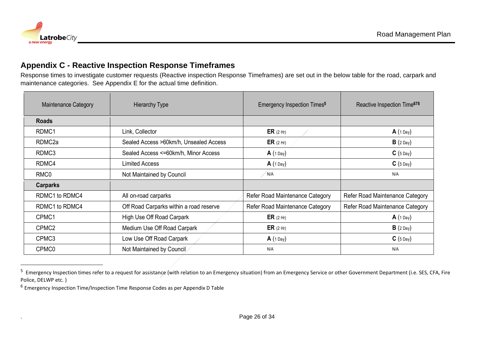

#### **Appendix C - Reactive Inspection Response Timeframes**

Response times to investigate customer requests (Reactive inspection Response Timeframes) are set out in the below table for the road, carpark and maintenance categories. See Appendix E for the actual time definition.

| Maintenance Category | <b>Hierarchy Type</b>                   | <b>Emergency Inspection Times<sup>5</sup></b> | Reactive Inspection Time <sup>678</sup> |
|----------------------|-----------------------------------------|-----------------------------------------------|-----------------------------------------|
| <b>Roads</b>         |                                         |                                               |                                         |
| RDMC1                | Link, Collector                         | ER $(2 Hr)$                                   | A(1 Day)                                |
| RDMC2a               | Sealed Access >60km/h, Unsealed Access  | ER(2 Hr)                                      | $B(2$ Day)                              |
| RDMC3                | Sealed Access <= 60km/h, Minor Access   | $A(1$ Day)                                    | $C(5$ Day)                              |
| RDMC4                | <b>Limited Access</b>                   | $A(1$ Day)                                    | $C(5$ Day)                              |
| RMC <sub>0</sub>     | Not Maintained by Council               | N/A                                           | N/A                                     |
| <b>Carparks</b>      |                                         |                                               |                                         |
| RDMC1 to RDMC4       | All on-road carparks                    | Refer Road Maintenance Category               | Refer Road Maintenance Category         |
| RDMC1 to RDMC4       | Off Road Carparks within a road reserve | Refer Road Maintenance Category               | Refer Road Maintenance Category         |
| CPMC1                | High Use Off Road Carpark               | ER $(2 Hr)$                                   | A(1 Day)                                |
| CPMC <sub>2</sub>    | Medium Use Off Road Carpark             | ER $(2 Hr)$                                   | $B(2$ Day)                              |
| CPMC3                | Low Use Off Road Carpark                | A(1 Day)                                      | $C(5$ Day)                              |
| CPMC0                | Not Maintained by Council               | N/A                                           | N/A                                     |

<span id="page-25-0"></span><sup>&</sup>lt;sup>5</sup> Emergency Inspection times refer to a request for assistance (with relation to an Emergency situation) from an Emergency Service or other Government Department (i.e. SES, CFA, Fire Police, DELWP etc. )

<sup>&</sup>lt;sup>6</sup> Emergency Inspection Time/Inspection Time Response Codes as per Appendix D Table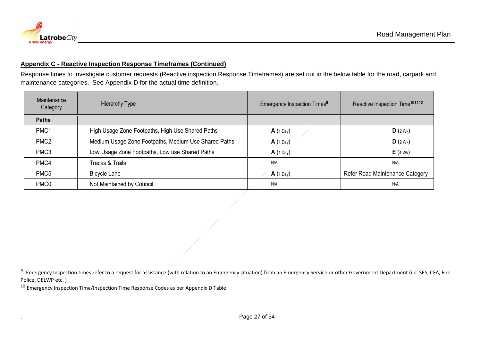#### **Appendix C - Reactive Inspection Response Timeframes (Continued)**

Response times to investigate customer requests (Reactive inspection Response Timeframes) are set out in the below table for the road, carpark and maintenance categories. See Appendix D for the actual time definition.

| Maintenance<br>Category | <b>Hierarchy Type</b>                                | Emergency Inspection Times <sup>9</sup> | Reactive Inspection Time <sup>101112</sup> |
|-------------------------|------------------------------------------------------|-----------------------------------------|--------------------------------------------|
| <b>Paths</b>            |                                                      |                                         |                                            |
| PMC <sub>1</sub>        | High Usage Zone Footpaths, High Use Shared Paths     | $A(1$ Day)                              | D(2Wk)                                     |
| PMC <sub>2</sub>        | Medium Usage Zone Footpaths, Medium Use Shared Paths | $A(1$ Day)                              | D(2Wk)                                     |
| PMC <sub>3</sub>        | Low Usage Zone Footpaths, Low use Shared Paths       | $A(1$ Day)                              | $E(4$ Wk)                                  |
| PMC4                    | Tracks & Trails                                      | N/A                                     | N/A                                        |
| PMC <sub>5</sub>        | <b>Bicycle Lane</b>                                  | $A(1$ Day)                              | Refer Road Maintenance Category            |
| PMC <sub>0</sub>        | Not Maintained by Council                            | N/A                                     | N/A                                        |

<sup>&</sup>lt;sup>9</sup> Emergency Inspection times refer to a request for assistance (with relation to an Emergency situation) from an Emergency Service or other Government Department (i.e. SES, CFA, Fire Police, DELWP etc. )

 $10$  Emergency Inspection Time/Inspection Time Response Codes as per Appendix D Table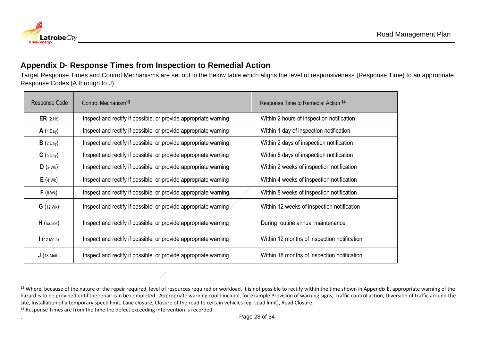

#### **Appendix D- Response Times from Inspection to Remedial Action**

Target Response Times and Control Mechanisms are set out in the below table which aligns the level of responsiveness (Response Time) to an appropriate Response Codes (A through to J).

| Response Code       | Control Mechanism <sup>13</sup>                                 | Response Time to Remedial Action 14         |
|---------------------|-----------------------------------------------------------------|---------------------------------------------|
| ER(2 Hr)            | Inspect and rectify if possible, or provide appropriate warning | Within 2 hours of inspection notification   |
| A(1 Day)            | Inspect and rectify if possible, or provide appropriate warning | Within 1 day of inspection notification     |
| $B(2$ Day)          | Inspect and rectify if possible, or provide appropriate warning | Within 2 days of inspection notification    |
| $C(5$ Day)          | Inspect and rectify if possible, or provide appropriate warning | Within 5 days of inspection notification    |
| D(2Wk)              | Inspect and rectify if possible, or provide appropriate warning | Within 2 weeks of inspection notification   |
| $E(4$ Wk)           | Inspect and rectify if possible, or provide appropriate warning | Within 4 weeks of inspection notification   |
| $F(8$ Wk)           | Inspect and rectify if possible, or provide appropriate warning | Within 8 weeks of inspection notification   |
| G(12 Wk)            | Inspect and rectify if possible, or provide appropriate warning | Within 12 weeks of inspection notification  |
| H (routine)         | Inspect and rectify if possible, or provide appropriate warning | During routine annual maintenance           |
| $(12 \text{ Mnth})$ | Inspect and rectify if possible, or provide appropriate warning | Within 12 months of inspection notification |
| J(18 Mnth)          | Inspect and rectify if possible, or provide appropriate warning | Within 18 months of inspection notification |

<sup>14</sup> Response Times are from the time the defect exceeding intervention is recorded.

<span id="page-27-0"></span><sup>&</sup>lt;sup>13</sup> Where, because of the nature of the repair required, level of resources required or workload, it is not possible to rectify within the time shown in Appendix E, appropriate warning of the hazard is to be provided until the repair can be completed. Appropriate warning could include, for example Provision of warning signs, Traffic control action, Diversion of traffic around the site, Installation of a temporary speed limit, Lane closure, Closure of the road to certain vehicles (eg. Load limit), Road Closure.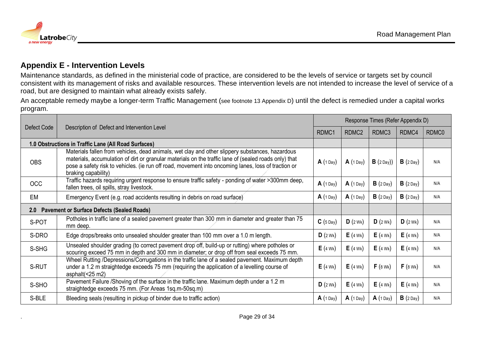

#### **Appendix E - Intervention Levels**

Maintenance standards, as defined in the ministerial code of practice, are considered to be the levels of service or targets set by council consistent with its management of risks and available resources. These intervention levels are not intended to increase the level of service of a road, but are designed to maintain what already exists safely.

An acceptable remedy maybe a longer-term Traffic Management (see footnote 13 Appendix D) until the defect is remedied under a capital works program.

<span id="page-28-0"></span>

|                                                          | Description of Defect and Intervention Level                                                                                                                                                                                                                                                                                           |            | Response Times (Refer Appendix D) |             |            |       |  |
|----------------------------------------------------------|----------------------------------------------------------------------------------------------------------------------------------------------------------------------------------------------------------------------------------------------------------------------------------------------------------------------------------------|------------|-----------------------------------|-------------|------------|-------|--|
| Defect Code                                              |                                                                                                                                                                                                                                                                                                                                        |            | RDMC <sub>2</sub>                 | RDMC3       | RDMC4      | RDMC0 |  |
|                                                          | 1.0 Obstructions in Traffic Lane (All Road Surfaces)                                                                                                                                                                                                                                                                                   |            |                                   |             |            |       |  |
| <b>OBS</b>                                               | Materials fallen from vehicles, dead animals, wet clay and other slippery substances, hazardous<br>materials, accumulation of dirt or granular materials on the traffic lane of (sealed roads only) that<br>pose a safety risk to vehicles. (ie run off road, movement into oncoming lanes, loss of traction or<br>braking capability) | A(1 Day)   | $A(1$ Day                         | $B(2$ Day)) | $B(2$ Day) | N/A   |  |
| <b>OCC</b>                                               | Traffic hazards requiring urgent response to ensure traffic safety - ponding of water >300mm deep,<br>fallen trees, oil spills, stray livestock.                                                                                                                                                                                       | $A(1$ Day) | $A(1$ Day)                        | $B(2$ Day)  | $B(2$ Day) | N/A   |  |
| EM                                                       | Emergency Event (e.g. road accidents resulting in debris on road surface)                                                                                                                                                                                                                                                              | $A(1$ Day) | $A(1$ Day                         | $B(2$ Day)  | $B(2$ Day) | N/A   |  |
| <b>Pavement or Surface Defects (Sealed Roads)</b><br>2.0 |                                                                                                                                                                                                                                                                                                                                        |            |                                   |             |            |       |  |
| S-POT                                                    | Potholes in traffic lane of a sealed pavement greater than 300 mm in diameter and greater than 75<br>mm deep.                                                                                                                                                                                                                          | $C(5$ Day) | D(2Wk)                            | D(2Wk)      | D(2Wk)     | N/A   |  |
| S-DRO                                                    | Edge drops/breaks onto unsealed shoulder greater than 100 mm over a 1.0 m length.                                                                                                                                                                                                                                                      | D(2Wk)     | $E(4$ Wk)                         | $E(4$ Wk)   | $E(4$ Wk)  | N/A   |  |
| S-SHG                                                    | Unsealed shoulder grading (to correct pavement drop off, build-up or rutting) where potholes or<br>scouring exceed 75 mm in depth and 300 mm in diameter; or drop off from seal exceeds 75 mm.                                                                                                                                         | $E(4$ Wk)  | $E(4$ Wk)                         | $E(4$ Wk)   | $E(4$ Wk)  | N/A   |  |
| S-RUT                                                    | Wheel Rutting /Depressions/Corrugations in the traffic lane of a sealed pavement. Maximum depth<br>under a 1.2 m straightedge exceeds 75 mm (requiring the application of a levelling course of<br>asphalt(<25 m2)                                                                                                                     | $E(4$ Wk)  | $E(4$ Wk)                         | $F(8$ Wk)   | $F(8$ Wk)  | N/A   |  |
| S-SHO                                                    | Pavement Failure /Shoving of the surface in the traffic lane. Maximum depth under a 1.2 m<br>straightedge exceeds 75 mm. (For Areas 1sq.m-50sq.m)                                                                                                                                                                                      | D(2Wk)     | $E(4$ Wk)                         | $E(4$ Wk)   | $E(4$ Wk)  | N/A   |  |
| S-BLE                                                    | Bleeding seals (resulting in pickup of binder due to traffic action)                                                                                                                                                                                                                                                                   | $A(1$ Day) | $A(1$ Day)                        | A(1 Day)    | $B(2$ Day) | N/A   |  |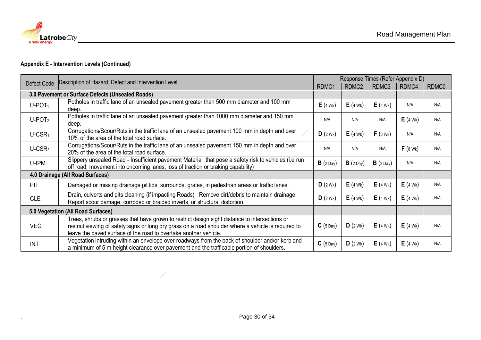

#### **Appendix E - Intervention Levels (Continued)**

| Defect Code                                      | Description of Hazard Defect and Intervention Level                                                                                                                                                                                                                        | Response Times (Refer Appendix D) |                   |            |           |       |  |
|--------------------------------------------------|----------------------------------------------------------------------------------------------------------------------------------------------------------------------------------------------------------------------------------------------------------------------------|-----------------------------------|-------------------|------------|-----------|-------|--|
|                                                  |                                                                                                                                                                                                                                                                            | RDMC1                             | RDMC <sub>2</sub> | RDMC3      | RDMC4     | RDMC0 |  |
| 3.0 Pavement or Surface Defects (Unsealed Roads) |                                                                                                                                                                                                                                                                            |                                   |                   |            |           |       |  |
| $U-POT1$                                         | Potholes in traffic lane of an unsealed pavement greater than 500 mm diameter and 100 mm<br>deep.                                                                                                                                                                          | $E(4$ Wk)                         | $E(4$ Wk)         | $E(4$ Wk)  | N/A       | N/A   |  |
| $U-POT2$                                         | Potholes in traffic lane of an unsealed pavement greater than 1000 mm diameter and 150 mm<br>deep.                                                                                                                                                                         | N/A                               | N/A               | N/A        | $E(4$ Wk) | N/A   |  |
| $U$ -CSR <sub>1</sub>                            | Corrugations/Scour/Ruts in the traffic lane of an unsealed pavement 100 mm in depth and over<br>10% of the area of the total road surface.                                                                                                                                 | D(2Wk)                            | $E(4$ Wk)         | $F(8$ Wk)  | N/A       | N/A   |  |
| $U$ -CSR <sub>2</sub>                            | Corrugations/Scour/Ruts in the traffic lane of an unsealed pavement 150 mm in depth and over<br>20% of the area of the total road surface.                                                                                                                                 | N/A                               | N/A               | N/A        | $F(8$ Wk) | N/A   |  |
| U-IPM                                            | Slippery unsealed Road - Insufficient pavement Material that pose a safety risk to vehicles. (i.e run<br>off road, movement into oncoming lanes, loss of traction or braking capability)                                                                                   | $B(2$ Day)                        | $B(2$ Day)        | $B(2$ Day) | N/A       | N/A   |  |
| 4.0 Drainage (All Road Surfaces)                 |                                                                                                                                                                                                                                                                            |                                   |                   |            |           |       |  |
| <b>PIT</b>                                       | Damaged or missing drainage pit lids, surrounds, grates, in pedestrian areas or traffic lanes.                                                                                                                                                                             | D(2Wk)                            | $E(4$ Wk)         | $E(4$ Wk)  | $E(4$ Wk) | N/A   |  |
| <b>CLE</b>                                       | Drain, culverts and pits cleaning (if impacting Roads) Remove dirt/debris to maintain drainage.<br>Report scour damage, corroded or braided inverts, or structural distortion.                                                                                             | D(2Wk)                            | $E(4$ Wk)         | $E(4$ Wk)  | $E(4$ Wk) | N/A   |  |
| 5.0 Vegetation (All Road Surfaces)               |                                                                                                                                                                                                                                                                            |                                   |                   |            |           |       |  |
| <b>VEG</b>                                       | Trees, shrubs or grasses that have grown to restrict design sight distance to intersections or<br>restrict viewing of safety signs or long dry grass on a road shoulder where a vehicle is required to<br>leave the paved surface of the road to overtake another vehicle. | $C(5$ Day)                        | D(2Wk)            | $E(4$ Wk)  | $E(4$ Wk) | N/A   |  |
| <b>INT</b>                                       | Vegetation intruding within an envelope over roadways from the back of shoulder and/or kerb and<br>a minimum of 5 m height clearance over pavement and the trafficable portion of shoulders.                                                                               | $C(5$ Day)                        | D(2Wk)            | $E(4$ Wk)  | $E(4$ Wk) | N/A   |  |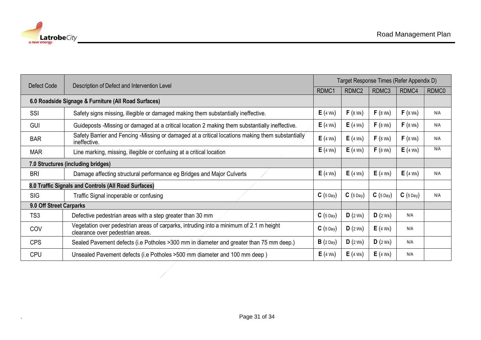

| Defect Code                                          | Description of Defect and Intervention Level                                                                               | Target Response Times (Refer Appendix D) |                   |            |            |       |  |
|------------------------------------------------------|----------------------------------------------------------------------------------------------------------------------------|------------------------------------------|-------------------|------------|------------|-------|--|
|                                                      |                                                                                                                            | RDMC1                                    | RDMC <sub>2</sub> | RDMC3      | RDMC4      | RDMC0 |  |
| 6.0 Roadside Signage & Furniture (All Road Surfaces) |                                                                                                                            |                                          |                   |            |            |       |  |
| SSI                                                  | Safety signs missing, illegible or damaged making them substantially ineffective.                                          | $E(4$ Wk)                                | $F(8$ Wk)         | $F(8$ Wk)  | $F(8$ Wk)  | N/A   |  |
| <b>GUI</b>                                           | Guideposts - Missing or damaged at a critical location 2 making them substantially ineffective.                            | $E(4$ Wk)                                | $E(4$ Wk)         | $F(8$ Wk)  | $F(8$ Wk)  | N/A   |  |
| <b>BAR</b>                                           | Safety Barrier and Fencing -Missing or damaged at a critical locations making them substantially<br>ineffective.           | $E(4$ Wk)                                | $E(4$ Wk)         | $F(8$ Wk)  | $F(8$ Wk)  | N/A   |  |
| <b>MAR</b>                                           | Line marking, missing, illegible or confusing at a critical location                                                       | $E(4$ Wk)                                | $E(4$ Wk)         | $F(8$ Wk)  | $E(4$ Wk)  | N/A   |  |
| 7.0 Structures (including bridges)                   |                                                                                                                            |                                          |                   |            |            |       |  |
| <b>BRI</b>                                           | Damage affecting structural performance eg Bridges and Major Culverts                                                      | $E(4$ Wk)                                | $E(4$ Wk)         | $E(4$ Wk)  | $E(4$ Wk)  | N/A   |  |
| 8.0 Traffic Signals and Controls (All Road Surfaces) |                                                                                                                            |                                          |                   |            |            |       |  |
| <b>SIG</b>                                           | Traffic Signal inoperable or confusing                                                                                     | $C(5$ Day)                               | $C(5$ Day)        | $C(5$ Day) | $C(5$ Day) | N/A   |  |
| 9.0 Off Street Carparks                              |                                                                                                                            |                                          |                   |            |            |       |  |
| TS3                                                  | Defective pedestrian areas with a step greater than 30 mm                                                                  | $C(5$ Day)                               | D(2Wk)            | D(2Wk)     | N/A        |       |  |
| COV                                                  | Vegetation over pedestrian areas of carparks, intruding into a minimum of 2.1 m height<br>clearance over pedestrian areas. | $C(5$ Day)                               | D(2Wk)            | $E(4$ Wk)  | N/A        |       |  |
| <b>CPS</b>                                           | Sealed Pavement defects (i.e Potholes > 300 mm in diameter and greater than 75 mm deep.)                                   | $B(2$ Day)                               | D(2Wk)            | D(2Wk)     | N/A        |       |  |
| <b>CPU</b>                                           | Unsealed Pavement defects (i.e Potholes > 500 mm diameter and 100 mm deep)                                                 | $E(4$ Wk)                                | $E(4$ Wk)         | $E(4$ Wk)  | N/A        |       |  |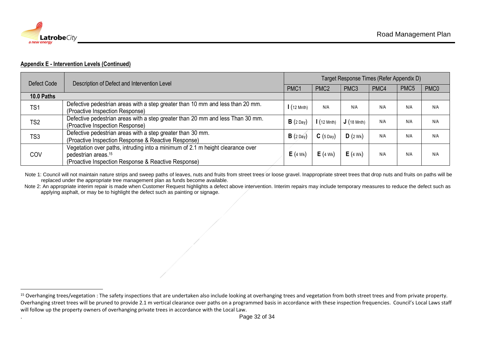

#### **Appendix E - Intervention Levels (Continued)**

| Defect Code | Description of Defect and Intervention Level                                                                                                                             | Target Response Times (Refer Appendix D) |                      |                  |      |                  |                  |  |
|-------------|--------------------------------------------------------------------------------------------------------------------------------------------------------------------------|------------------------------------------|----------------------|------------------|------|------------------|------------------|--|
|             |                                                                                                                                                                          | PMC1                                     | PMC <sub>2</sub>     | PMC <sub>3</sub> | PMC4 | PMC <sub>5</sub> | PMC <sub>0</sub> |  |
| 10.0 Paths  |                                                                                                                                                                          |                                          |                      |                  |      |                  |                  |  |
| TS1         | Defective pedestrian areas with a step greater than 10 mm and less than 20 mm.<br>(Proactive Inspection Response)                                                        | $(12 \text{ Mnth})$                      | N/A                  | N/A              | N/A  | N/A              | N/A              |  |
| TS2         | Defective pedestrian areas with a step greater than 20 mm and less Than 30 mm.<br>(Proactive Inspection Response)                                                        | $B(2$ Day                                | $\frac{1}{12}$ Mnth) | J(18 Mnth)       | N/A  | N/A              | N/A              |  |
| TS3         | Defective pedestrian areas with a step greater than 30 mm.<br>(Proactive Inspection Response & Reactive Response)                                                        | $B(2$ Day)                               | $C(5$ Day)           | D(2Wk)           | N/A  | N/A              | N/A              |  |
| COV         | Vegetation over paths, intruding into a minimum of 2.1 m height clearance over<br>pedestrian areas. <sup>15</sup><br>(Proactive Inspection Response & Reactive Response) | $E(4$ Wk)                                | $E(4$ Wk)            | $E(4$ Wk)        | N/A  | N/A              | N/A              |  |

Note 1: Council will not maintain nature strips and sweep paths of leaves, nuts and fruits from street trees or loose gravel. Inappropriate street trees that drop nuts and fruits on paths will be replaced under the appropriate tree management plan as funds become available.

Note 2: An appropriate interim repair is made when Customer Request highlights a defect above intervention. Interim repairs may include temporary measures to reduce the defect such as applying asphalt, or may be to highlight the defect such as painting or signage.

<sup>&</sup>lt;sup>15</sup> Overhanging trees/vegetation : The safety inspections that are undertaken also include looking at overhanging trees and vegetation from both street trees and from private property. Overhanging street trees will be pruned to provide 2.1 m vertical clearance over paths on a programmed basis in accordance with these inspection frequencies. Council's Local Laws staff will follow up the property owners of overhanging private trees in accordance with the Local Law.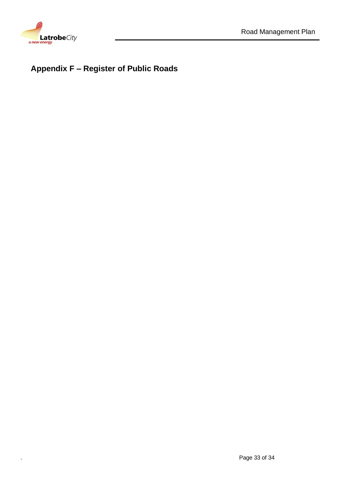

# <span id="page-32-0"></span>**Appendix F – Register of Public Roads**